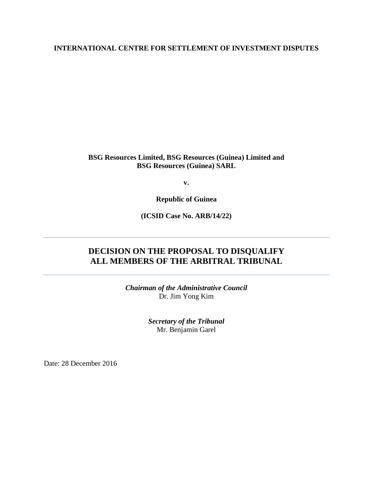## **INTERNATIONAL CENTRE FOR SETTLEMENT OF INVESTMENT DISPUTES**

**BSG Resources Limited, BSG Resources (Guinea) Limited and BSG Resources (Guinea) SARL** 

**v.**

**Republic of Guinea**

**(ICSID Case No. ARB/14/22)**

# **DECISION ON THE PROPOSAL TO DISQUALIFY ALL MEMBERS OF THE ARBITRAL TRIBUNAL**

*Chairman of the Administrative Council*  Dr. Jim Yong Kim

> *Secretary of the Tribunal* Mr. Benjamin Garel

Date: 28 December 2016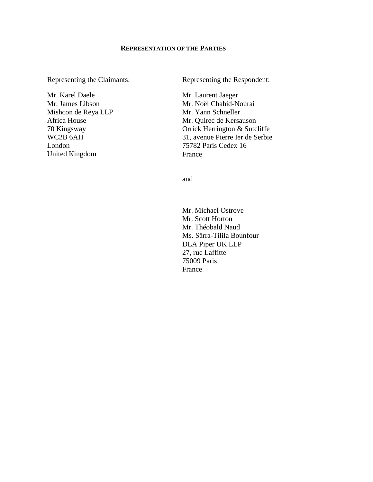## **REPRESENTATION OF THE PARTIES**

Representing the Claimants:

Mr. Karel Daele Mr. James Libson Mishcon de Reya LLP Africa House 70 Kingsway WC2B 6AH London United Kingdom

Representing the Respondent:

Mr. Laurent Jaeger Mr. Noël Chahid-Nourai Mr. Yann Schneller Mr. Quirec de Kersauson Orrick Herrington & Sutcliffe 31, avenue Pierre Ier de Serbie 75782 Paris Cedex 16 France

and

Mr. Michael Ostrove Mr. Scott Horton Mr. Théobald Naud Ms. Sârra-Tilila Bounfour DLA Piper UK LLP 27, rue Laffitte 75009 Paris France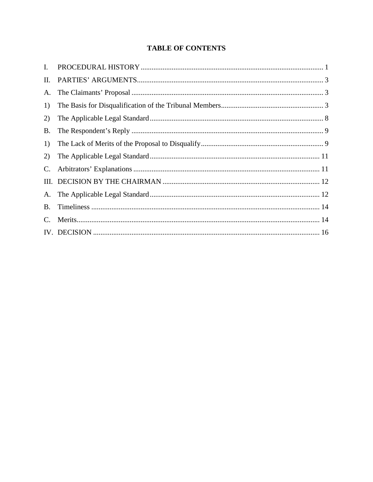# **TABLE OF CONTENTS**

| $\mathbf{I}$ . |  |
|----------------|--|
| П.             |  |
| А.             |  |
| 1)             |  |
| 2)             |  |
| B.             |  |
| 1)             |  |
| 2)             |  |
| $\mathbb{C}$ . |  |
| III.           |  |
|                |  |
| <b>B.</b>      |  |
| $C_{\cdot}$    |  |
|                |  |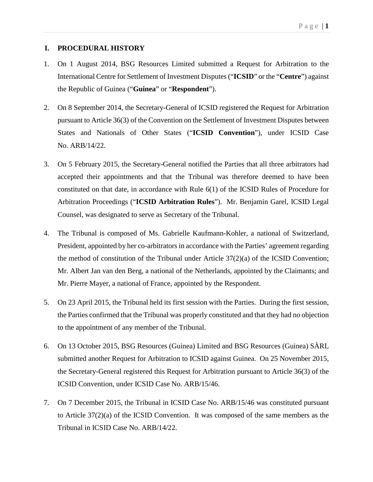## <span id="page-3-0"></span>**I. PROCEDURAL HISTORY**

- 1. On 1 August 2014, BSG Resources Limited submitted a Request for Arbitration to the International Centre for Settlement of Investment Disputes ("**ICSID**" or the "**Centre**") against the Republic of Guinea ("**Guinea**" or "**Respondent**").
- 2. On 8 September 2014, the Secretary-General of ICSID registered the Request for Arbitration pursuant to Article 36(3) of the Convention on the Settlement of Investment Disputes between States and Nationals of Other States ("**ICSID Convention**"), under ICSID Case No. ARB/14/22.
- 3. On 5 February 2015, the Secretary-General notified the Parties that all three arbitrators had accepted their appointments and that the Tribunal was therefore deemed to have been constituted on that date, in accordance with Rule 6(1) of the ICSID Rules of Procedure for Arbitration Proceedings ("**ICSID Arbitration Rules**"). Mr. Benjamin Garel, ICSID Legal Counsel, was designated to serve as Secretary of the Tribunal.
- 4. The Tribunal is composed of Ms. Gabrielle Kaufmann-Kohler, a national of Switzerland, President, appointed by her co-arbitrators in accordance with the Parties' agreement regarding the method of constitution of the Tribunal under Article  $37(2)(a)$  of the ICSID Convention; Mr. Albert Jan van den Berg, a national of the Netherlands, appointed by the Claimants; and Mr. Pierre Mayer, a national of France, appointed by the Respondent.
- 5. On 23 April 2015, the Tribunal held its first session with the Parties. During the first session, the Parties confirmed that the Tribunal was properly constituted and that they had no objection to the appointment of any member of the Tribunal.
- 6. On 13 October 2015, BSG Resources (Guinea) Limited and BSG Resources (Guinea) SÀRL submitted another Request for Arbitration to ICSID against Guinea. On 25 November 2015, the Secretary-General registered this Request for Arbitration pursuant to Article 36(3) of the ICSID Convention, under ICSID Case No. ARB/15/46.
- 7. On 7 December 2015, the Tribunal in ICSID Case No. ARB/15/46 was constituted pursuant to Article 37(2)(a) of the ICSID Convention. It was composed of the same members as the Tribunal in ICSID Case No. ARB/14/22.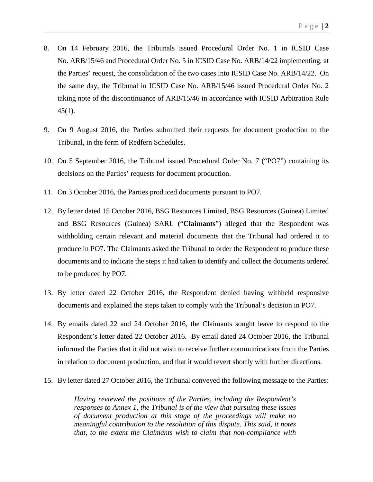- 8. On 14 February 2016, the Tribunals issued Procedural Order No. 1 in ICSID Case No. ARB/15/46 and Procedural Order No. 5 in ICSID Case No. ARB/14/22 implementing, at the Parties' request, the consolidation of the two cases into ICSID Case No. ARB/14/22. On the same day, the Tribunal in ICSID Case No. ARB/15/46 issued Procedural Order No. 2 taking note of the discontinuance of ARB/15/46 in accordance with ICSID Arbitration Rule 43(1).
- 9. On 9 August 2016, the Parties submitted their requests for document production to the Tribunal, in the form of Redfern Schedules.
- 10. On 5 September 2016, the Tribunal issued Procedural Order No. 7 ("PO7") containing its decisions on the Parties' requests for document production.
- 11. On 3 October 2016, the Parties produced documents pursuant to PO7.
- 12. By letter dated 15 October 2016, BSG Resources Limited, BSG Resources (Guinea) Limited and BSG Resources (Guinea) SARL ("**Claimants**") alleged that the Respondent was withholding certain relevant and material documents that the Tribunal had ordered it to produce in PO7. The Claimants asked the Tribunal to order the Respondent to produce these documents and to indicate the steps it had taken to identify and collect the documents ordered to be produced by PO7.
- 13. By letter dated 22 October 2016, the Respondent denied having withheld responsive documents and explained the steps taken to comply with the Tribunal's decision in PO7.
- 14. By emails dated 22 and 24 October 2016, the Claimants sought leave to respond to the Respondent's letter dated 22 October 2016. By email dated 24 October 2016, the Tribunal informed the Parties that it did not wish to receive further communications from the Parties in relation to document production, and that it would revert shortly with further directions.
- 15. By letter dated 27 October 2016, the Tribunal conveyed the following message to the Parties:

*Having reviewed the positions of the Parties, including the Respondent's responses to Annex 1, the Tribunal is of the view that pursuing these issues of document production at this stage of the proceedings will make no meaningful contribution to the resolution of this dispute. This said, it notes that, to the extent the Claimants wish to claim that non-compliance with*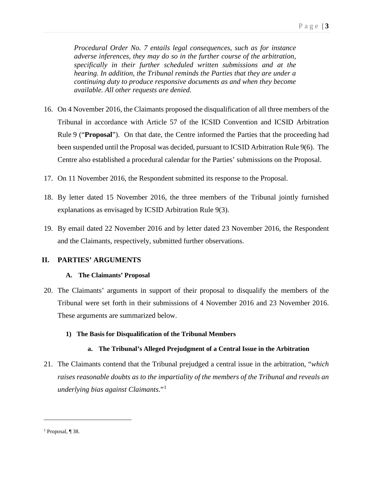*Procedural Order No. 7 entails legal consequences, such as for instance adverse inferences, they may do so in the further course of the arbitration, specifically in their further scheduled written submissions and at the hearing. In addition, the Tribunal reminds the Parties that they are under a continuing duty to produce responsive documents as and when they become available. All other requests are denied.*

- 16. On 4 November 2016, the Claimants proposed the disqualification of all three members of the Tribunal in accordance with Article 57 of the ICSID Convention and ICSID Arbitration Rule 9 ("**Proposal**"). On that date, the Centre informed the Parties that the proceeding had been suspended until the Proposal was decided, pursuant to ICSID Arbitration Rule 9(6). The Centre also established a procedural calendar for the Parties' submissions on the Proposal.
- 17. On 11 November 2016, the Respondent submitted its response to the Proposal.
- 18. By letter dated 15 November 2016, the three members of the Tribunal jointly furnished explanations as envisaged by ICSID Arbitration Rule 9(3).
- 19. By email dated 22 November 2016 and by letter dated 23 November 2016, the Respondent and the Claimants, respectively, submitted further observations.

## <span id="page-5-0"></span>**II. PARTIES' ARGUMENTS**

#### <span id="page-5-1"></span>**A. The Claimants' Proposal**

20. The Claimants' arguments in support of their proposal to disqualify the members of the Tribunal were set forth in their submissions of 4 November 2016 and 23 November 2016. These arguments are summarized below.

#### <span id="page-5-2"></span>**1) The Basis for Disqualification of the Tribunal Members**

#### **a. The Tribunal's Alleged Prejudgment of a Central Issue in the Arbitration**

21. The Claimants contend that the Tribunal prejudged a central issue in the arbitration, "*which raises reasonable doubts as to the impartiality of the members of the Tribunal and reveals an underlying bias against Claimants*."[1](#page-5-3)

 $\overline{a}$ 

<span id="page-5-3"></span><sup>1</sup> Proposal, ¶ 38.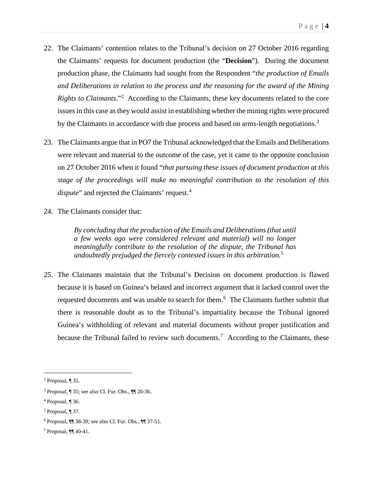- 22. The Claimants' contention relates to the Tribunal's decision on 27 October 2016 regarding the Claimants' requests for document production (the "**Decision**"). During the document production phase, the Claimants had sought from the Respondent "*the production of Emails and Deliberations in relation to the process and the reasoning for the award of the Mining Rights to Claimants*."[2](#page-6-0) According to the Claimants, these key documents related to the core issues in this case as they would assist in establishing whether the mining rights were procured by the Claimants in accordance with due process and based on arms-length negotiations.<sup>[3](#page-6-1)</sup>
- 23. The Claimants argue that in PO7 the Tribunal acknowledged that the Emails and Deliberations were relevant and material to the outcome of the case, yet it came to the opposite conclusion on 27 October 2016 when it found "*that pursuing these issues of document production at this stage of the proceedings will make no meaningful contribution to the resolution of this dispute*" and rejected the Claimants' request.<sup>[4](#page-6-2)</sup>
- 24. The Claimants consider that:

*By concluding that the production of the Emails and Deliberations (that until a few weeks ago were considered relevant and material) will no longer meaningfully contribute to the resolution of the dispute, the Tribunal has undoubtedly prejudged the fiercely contested issues in this arbitration.*[5](#page-6-3)

25. The Claimants maintain that the Tribunal's Decision on document production is flawed because it is based on Guinea's belated and incorrect argument that it lacked control over the requested documents and was unable to search for them.<sup>[6](#page-6-4)</sup> The Claimants further submit that there is reasonable doubt as to the Tribunal's impartiality because the Tribunal ignored Guinea's withholding of relevant and material documents without proper justification and because the Tribunal failed to review such documents.<sup>[7](#page-6-5)</sup> According to the Claimants, these

<span id="page-6-0"></span> $2$  Proposal, ¶ 35.

<span id="page-6-1"></span><sup>3</sup> Proposal, ¶ 35; see also Cl. Fur. Obs., ¶¶ 20-36.

<span id="page-6-2"></span><sup>4</sup> Proposal, ¶ 36.

<span id="page-6-3"></span><sup>5</sup> Proposal, ¶ 37.

<span id="page-6-4"></span><sup>6</sup> Proposal, ¶¶ 38-39; see also Cl. Fur. Obs., ¶¶ 37-51.

<span id="page-6-5"></span><sup>7</sup> Proposal, ¶¶ 40-41.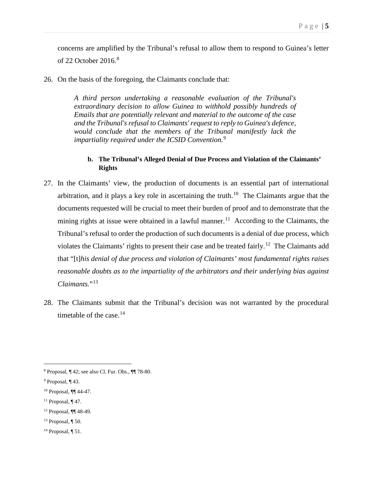concerns are amplified by the Tribunal's refusal to allow them to respond to Guinea's letter of 22 October 2016. [8](#page-7-0)

26. On the basis of the foregoing, the Claimants conclude that:

*A third person undertaking a reasonable evaluation of the Tribunal's extraordinary decision to allow Guinea to withhold possibly hundreds of Emails that are potentially relevant and material to the outcome of the case and the Tribunal's refusal to Claimants' request to reply to Guinea's defence, would conclude that the members of the Tribunal manifestly lack the impartiality required under the ICSID Convention.*[9](#page-7-1)

## **b. The Tribunal's Alleged Denial of Due Process and Violation of the Claimants' Rights**

- 27. In the Claimants' view, the production of documents is an essential part of international arbitration, and it plays a key role in ascertaining the truth.<sup>[10](#page-7-2)</sup> The Claimants argue that the documents requested will be crucial to meet their burden of proof and to demonstrate that the mining rights at issue were obtained in a lawful manner.<sup>[11](#page-7-3)</sup> According to the Claimants, the Tribunal's refusal to order the production of such documents is a denial of due process, which violates the Claimants' rights to present their case and be treated fairly.[12](#page-7-4) The Claimants add that "[t]*his denial of due process and violation of Claimants' most fundamental rights raises reasonable doubts as to the impartiality of the arbitrators and their underlying bias against Claimants.*"[13](#page-7-5)
- 28. The Claimants submit that the Tribunal's decision was not warranted by the procedural timetable of the case. [14](#page-7-6)

<span id="page-7-3"></span> $11$  Proposal, ¶ 47.

- <span id="page-7-5"></span> $13$  Proposal, ¶ 50.
- <span id="page-7-6"></span> $14$  Proposal, ¶ 51.

<span id="page-7-0"></span> <sup>8</sup> Proposal, ¶ 42; see also Cl. Fur. Obs., ¶¶ 78-80.

<span id="page-7-1"></span><sup>9</sup> Proposal, ¶ 43.

<span id="page-7-2"></span><sup>10</sup> Proposal, ¶¶ 44-47.

<span id="page-7-4"></span><sup>12</sup> Proposal, ¶¶ 48-49.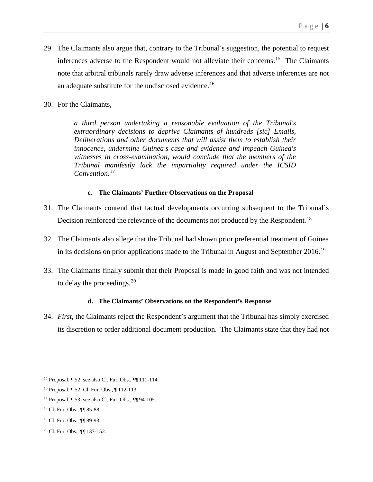- 29. The Claimants also argue that, contrary to the Tribunal's suggestion, the potential to request inferences adverse to the Respondent would not alleviate their concerns.[15](#page-8-0) The Claimants note that arbitral tribunals rarely draw adverse inferences and that adverse inferences are not an adequate substitute for the undisclosed evidence.<sup>[16](#page-8-1)</sup>
- 30. For the Claimants,

*a third person undertaking a reasonable evaluation of the Tribunal's extraordinary decisions to deprive Claimants of hundreds [sic] Emails, Deliberations and other documents that will assist them to establish their innocence, undermine Guinea's case and evidence and impeach Guinea's witnesses in cross-examination, would conclude that the members of the Tribunal manifestly lack the impartiality required under the ICSID Convention*. [17](#page-8-2)

#### **c. The Claimants' Further Observations on the Proposal**

- 31. The Claimants contend that factual developments occurring subsequent to the Tribunal's Decision reinforced the relevance of the documents not produced by the Respondent*.* [18](#page-8-3)
- 32. The Claimants also allege that the Tribunal had shown prior preferential treatment of Guinea in its decisions on prior applications made to the Tribunal in August and September  $2016$ .<sup>19</sup>
- 33. The Claimants finally submit that their Proposal is made in good faith and was not intended to delay the proceedings. $^{20}$  $^{20}$  $^{20}$

#### **d. The Claimants' Observations on the Respondent's Response**

34. *First,* the Claimants reject the Respondent's argument that the Tribunal has simply exercised its discretion to order additional document production. The Claimants state that they had not

<span id="page-8-0"></span> <sup>15</sup> Proposal, ¶ 52; see also Cl. Fur. Obs., ¶¶ 111-114.

<span id="page-8-1"></span><sup>16</sup> Proposal, ¶ 52; Cl. Fur. Obs., ¶ 112-113.

<span id="page-8-2"></span><sup>17</sup> Proposal, ¶ 53; see also Cl. Fur. Obs., ¶¶ 94-105.

<span id="page-8-3"></span><sup>18</sup> Cl. Fur. Obs., ¶¶ 85-88.

<span id="page-8-4"></span><sup>19</sup> Cl. Fur. Obs., ¶¶ 89-93.

<span id="page-8-5"></span><sup>20</sup> Cl. Fur. Obs., ¶¶ 137-152.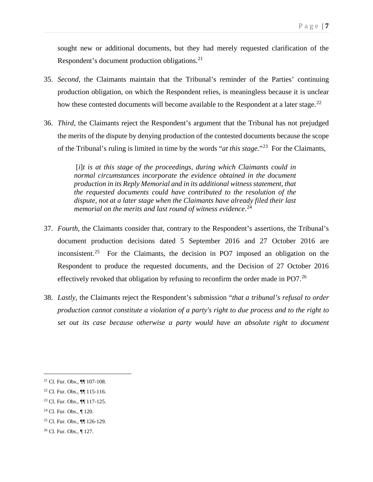sought new or additional documents, but they had merely requested clarification of the Respondent's document production obligations.<sup>[21](#page-9-0)</sup>

- 35. *Second,* the Claimants maintain that the Tribunal's reminder of the Parties' continuing production obligation, on which the Respondent relies, is meaningless because it is unclear how these contested documents will become available to the Respondent at a later stage.<sup>[22](#page-9-1)</sup>
- 36. *Third,* the Claimants reject the Respondent's argument that the Tribunal has not prejudged the merits of the dispute by denying production of the contested documents because the scope of the Tribunal's ruling is limited in time by the words "*at this stage.*"[23](#page-9-2) For the Claimants,

[*i*]*t is at this stage of the proceedings, during which Claimants could in normal circumstances incorporate the evidence obtained in the document production in its Reply Memorial and in its additional witness statement, that the requested documents could have contributed to the resolution of the dispute, not at a later stage when the Claimants have already filed their last memorial on the merits and last round of witness evidence*. [24](#page-9-3)

- 37. *Fourth,* the Claimants consider that, contrary to the Respondent's assertions, the Tribunal's document production decisions dated 5 September 2016 and 27 October 2016 are inconsistent. [25](#page-9-4) For the Claimants, the decision in PO7 imposed an obligation on the Respondent to produce the requested documents, and the Decision of 27 October 2016 effectively revoked that obligation by refusing to reconfirm the order made in PO7.<sup>[26](#page-9-5)</sup>
- 38. *Lastly,* the Claimants reject the Respondent's submission "*that a tribunal's refusal to order production cannot constitute a violation of a party's right to due process and to the right to set out its case because otherwise a party would have an absolute right to document*

<span id="page-9-0"></span> <sup>21</sup> Cl. Fur. Obs., ¶¶ 107-108.

<span id="page-9-1"></span><sup>22</sup> Cl. Fur. Obs., ¶¶ 115-116.

<span id="page-9-2"></span><sup>23</sup> Cl. Fur. Obs., ¶¶ 117-125.

<span id="page-9-3"></span><sup>24</sup> Cl. Fur. Obs., ¶ 120.

<span id="page-9-4"></span><sup>25</sup> Cl. Fur. Obs., ¶¶ 126-129.

<span id="page-9-5"></span><sup>26</sup> Cl. Fur. Obs., ¶ 127.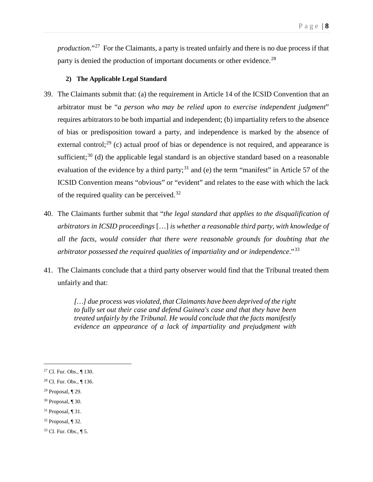*production*."[27](#page-10-1) For the Claimants, a party is treated unfairly and there is no due process if that party is denied the production of important documents or other evidence.<sup>[28](#page-10-2)</sup>

#### **2) The Applicable Legal Standard**

- <span id="page-10-0"></span>39. The Claimants submit that: (a) the requirement in Article 14 of the ICSID Convention that an arbitrator must be "*a person who may be relied upon to exercise independent judgment*" requires arbitrators to be both impartial and independent; (b) impartiality refers to the absence of bias or predisposition toward a party, and independence is marked by the absence of external control;<sup>[29](#page-10-3)</sup> (c) actual proof of bias or dependence is not required, and appearance is sufficient;<sup>[30](#page-10-4)</sup> (d) the applicable legal standard is an objective standard based on a reasonable evaluation of the evidence by a third party;<sup>[31](#page-10-5)</sup> and (e) the term "manifest" in Article 57 of the ICSID Convention means "obvious" or "evident" and relates to the ease with which the lack of the required quality can be perceived.<sup>[32](#page-10-6)</sup>
- 40. The Claimants further submit that "*the legal standard that applies to the disqualification of arbitrators in ICSID proceedings* […] *is whether a reasonable third party, with knowledge of all the facts, would consider that there were reasonable grounds for doubting that the arbitrator possessed the required qualities of impartiality and or independence*."[33](#page-10-7)
- 41. The Claimants conclude that a third party observer would find that the Tribunal treated them unfairly and that:

*[…] due process was violated, that Claimants have been deprived of the right to fully set out their case and defend Guinea's case and that they have been treated unfairly by the Tribunal. He would conclude that the facts manifestly evidence an appearance of a lack of impartiality and prejudgment with* 

- <span id="page-10-3"></span><sup>29</sup> Proposal, ¶ 29.
- <span id="page-10-4"></span><sup>30</sup> Proposal, ¶ 30.
- <span id="page-10-5"></span> $31$  Proposal, ¶ 31.

<span id="page-10-1"></span> <sup>27</sup> Cl. Fur. Obs., ¶ 130.

<span id="page-10-2"></span><sup>28</sup> Cl. Fur. Obs., ¶ 136.

<span id="page-10-6"></span> $32$  Proposal, ¶ 32.

<span id="page-10-7"></span><sup>33</sup> Cl. Fur. Obs., ¶ 5.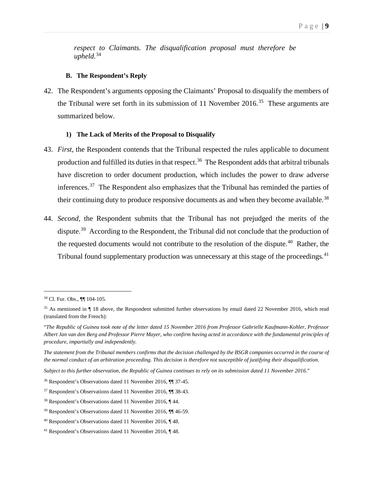*respect to Claimants. The disqualification proposal must therefore be upheld.*[34](#page-11-2)

#### **B. The Respondent's Reply**

<span id="page-11-0"></span>42. The Respondent's arguments opposing the Claimants' Proposal to disqualify the members of the Tribunal were set forth in its submission of 11 November  $2016$ <sup>35</sup> These arguments are summarized below.

#### **1) The Lack of Merits of the Proposal to Disqualify**

- <span id="page-11-1"></span>43. *First,* the Respondent contends that the Tribunal respected the rules applicable to document production and fulfilled its duties in that respect.<sup>[36](#page-11-4)</sup> The Respondent adds that arbitral tribunals have discretion to order document production, which includes the power to draw adverse inferences.[37](#page-11-5) The Respondent also emphasizes that the Tribunal has reminded the parties of their continuing duty to produce responsive documents as and when they become available.<sup>[38](#page-11-6)</sup>
- 44. *Second,* the Respondent submits that the Tribunal has not prejudged the merits of the dispute.<sup>39</sup> According to the Respondent, the Tribunal did not conclude that the production of the requested documents would not contribute to the resolution of the dispute.<sup>40</sup> Rather, the Tribunal found supplementary production was unnecessary at this stage of the proceedings.<sup>[41](#page-11-9)</sup>

<span id="page-11-2"></span> <sup>34</sup> Cl. Fur. Obs., ¶¶ 104-105.

<span id="page-11-3"></span><sup>&</sup>lt;sup>35</sup> As mentioned in ¶ 18 above, the Respondent submitted further observations by email dated 22 November 2016, which read (translated from the French):

<sup>&</sup>quot;*The Republic of Guinea took note of the letter dated 15 November 2016 from Professor Gabrielle Kaufmann-Kohler, Professor Albert Jan van den Berg and Professor Pierre Mayer, who confirm having acted in accordance with the fundamental principles of procedure, impartially and independently.*

*The statement from the Tribunal members confirms that the decision challenged by the BSGR companies occurred in the course of the normal conduct of an arbitration proceeding. This decision is therefore not susceptible of justifying their disqualification.*

*Subject to this further observation, the Republic of Guinea continues to rely on its submission dated 11 November 2016*."

<span id="page-11-4"></span><sup>36</sup> Respondent's Observations dated 11 November 2016, ¶¶ 37-45.

<span id="page-11-5"></span><sup>37</sup> Respondent's Observations dated 11 November 2016, ¶¶ 38-43.

<span id="page-11-6"></span><sup>38</sup> Respondent's Observations dated 11 November 2016, ¶ 44.

<span id="page-11-7"></span><sup>39</sup> Respondent's Observations dated 11 November 2016, ¶¶ 46-59.

<span id="page-11-8"></span><sup>40</sup> Respondent's Observations dated 11 November 2016, ¶ 48.

<span id="page-11-9"></span><sup>41</sup> Respondent's Observations dated 11 November 2016, ¶ 48.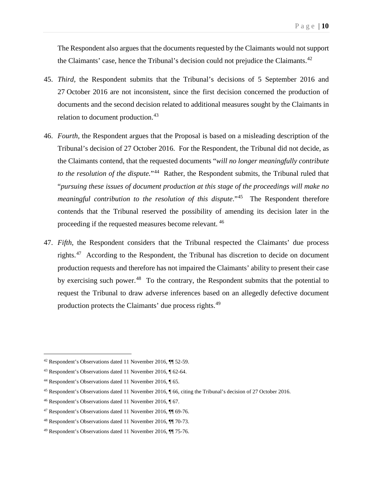The Respondent also argues that the documents requested by the Claimants would not support the Claimants' case, hence the Tribunal's decision could not prejudice the Claimants.<sup>[42](#page-12-0)</sup>

- 45. *Third,* the Respondent submits that the Tribunal's decisions of 5 September 2016 and 27 October 2016 are not inconsistent, since the first decision concerned the production of documents and the second decision related to additional measures sought by the Claimants in relation to document production.<sup>[43](#page-12-1)</sup>
- 46. *Fourth,* the Respondent argues that the Proposal is based on a misleading description of the Tribunal's decision of 27 October 2016. For the Respondent, the Tribunal did not decide, as the Claimants contend, that the requested documents "*will no longer meaningfully contribute to the resolution of the dispute.*"<sup>[44](#page-12-2)</sup> Rather, the Respondent submits, the Tribunal ruled that "*pursuing these issues of document production at this stage of the proceedings will make no meaningful contribution to the resolution of this dispute*."<sup>[45](#page-12-3)</sup> The Respondent therefore contends that the Tribunal reserved the possibility of amending its decision later in the proceeding if the requested measures become relevant. [46](#page-12-4)
- 47. *Fifth,* the Respondent considers that the Tribunal respected the Claimants' due process rights.<sup>47</sup> According to the Respondent, the Tribunal has discretion to decide on document production requests and therefore has not impaired the Claimants' ability to present their case by exercising such power.<sup>48</sup> To the contrary, the Respondent submits that the potential to request the Tribunal to draw adverse inferences based on an allegedly defective document production protects the Claimants' due process rights.<sup>[49](#page-12-7)</sup>

<span id="page-12-0"></span> <sup>42</sup> Respondent's Observations dated 11 November 2016, ¶¶ 52-59.

<span id="page-12-1"></span><sup>43</sup> Respondent's Observations dated 11 November 2016, ¶ 62-64.

<span id="page-12-2"></span><sup>44</sup> Respondent's Observations dated 11 November 2016, ¶ 65.

<span id="page-12-3"></span><sup>45</sup> Respondent's Observations dated 11 November 2016, ¶ 66, citing the Tribunal's decision of 27 October 2016.

<span id="page-12-4"></span><sup>46</sup> Respondent's Observations dated 11 November 2016, ¶ 67.

<span id="page-12-5"></span><sup>47</sup> Respondent's Observations dated 11 November 2016, ¶¶ 69-76.

<span id="page-12-6"></span><sup>48</sup> Respondent's Observations dated 11 November 2016, ¶¶ 70-73.

<span id="page-12-7"></span><sup>49</sup> Respondent's Observations dated 11 November 2016, ¶¶ 75-76.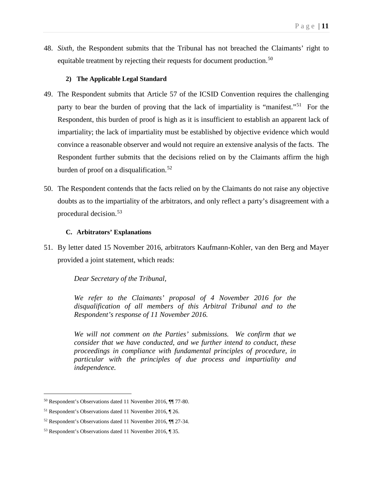48. *Sixth,* the Respondent submits that the Tribunal has not breached the Claimants' right to equitable treatment by rejecting their requests for document production.<sup>[50](#page-13-2)</sup>

## **2) The Applicable Legal Standard**

- <span id="page-13-0"></span>49. The Respondent submits that Article 57 of the ICSID Convention requires the challenging party to bear the burden of proving that the lack of impartiality is "manifest."<sup>[51](#page-13-3)</sup> For the Respondent, this burden of proof is high as it is insufficient to establish an apparent lack of impartiality; the lack of impartiality must be established by objective evidence which would convince a reasonable observer and would not require an extensive analysis of the facts. The Respondent further submits that the decisions relied on by the Claimants affirm the high burden of proof on a disqualification.<sup>[52](#page-13-4)</sup>
- 50. The Respondent contends that the facts relied on by the Claimants do not raise any objective doubts as to the impartiality of the arbitrators, and only reflect a party's disagreement with a procedural decision.<sup>[53](#page-13-5)</sup>

## **C. Arbitrators' Explanations**

<span id="page-13-1"></span>51. By letter dated 15 November 2016, arbitrators Kaufmann-Kohler, van den Berg and Mayer provided a joint statement, which reads:

## *Dear Secretary of the Tribunal,*

*We refer to the Claimants' proposal of 4 November 2016 for the disqualification of all members of this Arbitral Tribunal and to the Respondent's response of 11 November 2016.*

*We will not comment on the Parties' submissions. We confirm that we consider that we have conducted, and we further intend to conduct, these proceedings in compliance with fundamental principles of procedure, in particular with the principles of due process and impartiality and independence.*

<span id="page-13-2"></span> <sup>50</sup> Respondent's Observations dated 11 November 2016, ¶¶ 77-80.

<span id="page-13-3"></span><sup>51</sup> Respondent's Observations dated 11 November 2016, ¶ 26.

<span id="page-13-4"></span><sup>52</sup> Respondent's Observations dated 11 November 2016, ¶¶ 27-34.

<span id="page-13-5"></span><sup>53</sup> Respondent's Observations dated 11 November 2016, ¶ 35.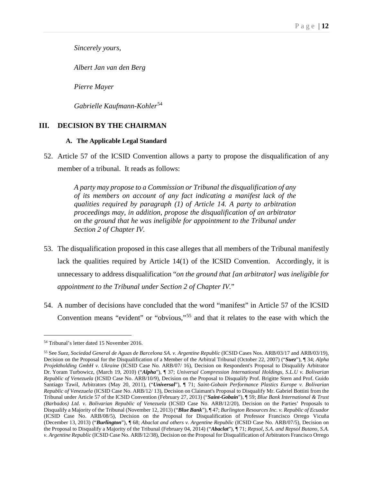*Sincerely yours,*

*Albert Jan van den Berg*

*Pierre Mayer*

*Gabrielle Kaufmann-Kohler*[54](#page-14-2)

#### <span id="page-14-1"></span><span id="page-14-0"></span>**III. DECISION BY THE CHAIRMAN**

#### **A. The Applicable Legal Standard**

52. Article 57 of the ICSID Convention allows a party to propose the disqualification of any member of a tribunal. It reads as follows:

> *A party may propose to a Commission or Tribunal the disqualification of any of its members on account of any fact indicating a manifest lack of the qualities required by paragraph (1) of Article 14. A party to arbitration proceedings may, in addition, propose the disqualification of an arbitrator on the ground that he was ineligible for appointment to the Tribunal under Section 2 of Chapter IV.*

- 53. The disqualification proposed in this case alleges that all members of the Tribunal manifestly lack the qualities required by Article 14(1) of the ICSID Convention. Accordingly, it is unnecessary to address disqualification "*on the ground that [an arbitrator] was ineligible for appointment to the Tribunal under Section 2 of Chapter IV.*"
- 54. A number of decisions have concluded that the word "manifest" in Article 57 of the ICSID Convention means "evident" or "obvious,"[55](#page-14-3) and that it relates to the ease with which the

<span id="page-14-2"></span> <sup>54</sup> Tribunal's letter dated 15 November 2016.

<span id="page-14-3"></span><sup>55</sup> See *Suez, Sociedad General de Aguas de Barcelona SA. v. Argentine Republic* (ICSID Cases Nos. ARB/03/17 and ARB/03/19), Decision on the Proposal for the Disqualification of a Member of the Arbitral Tribunal (October 22, 2007) ("*Suez*"), ¶ 34; *Alpha Projektholding GmbH v. Ukraine* (ICSID Case No. ARB/07/ 16), Decision on Respondent's Proposal to Disqualify Arbitrator Dr. Yoram Turbowicz, (March 19, 2010) ("*Alpha*"), ¶ 37; *Universal Compression International Holdings, S.L.U v. Bolivarian Republic of Venezuela* (ICSID Case No. ARB/10/9), Decision on the Proposal to Disqualify Prof. Brigitte Stern and Prof. Guido Santiago Tawil, Arbitrators (May 20, 2011), ("*Universal*"), ¶ 71; *Saint-Gobain Performance Plastics Europe v. Bolivarian Republic of Venezuela* (ICSID Case No. ARB/12/ 13), Decision on Claimant's Proposal to Disqualify Mr. Gabriel Bottini from the Tribunal under Article 57 of the ICSID Convention (February 27, 2013) ("*Saint-Gobain*"), ¶ 59; *Blue Bank International & Trust (Barbados) Ltd. v. Bolivarian Republic of Venezuela* (ICSID Case No. ARB/12/20), Decision on the Parties' Proposals to Disqualify a Majority of the Tribunal (November 12, 2013) ("*Blue Bank*"), ¶ 47; *Burlington Resources Inc. v. Republic of Ecuador* (ICSID Case No. ARB/08/5), Decision on the Proposal for Disqualification of Professor Francisco Orrego Vicuña (December 13, 2013) ("*Burlington*"), ¶ 68; *Abaclat and others v. Argentine Republic* (ICSID Case No. ARB/07/5), Decision on the Proposal to Disqualify a Majority of the Tribunal (February 04, 2014) ("*Abaclat*"), ¶ 71; *Repsol, S.A. and Repsol Butano, S.A. v. Argentine Republic* (ICSID Case No. ARB/12/38), Decision on the Proposal for Disqualification of Arbitrators Francisco Orrego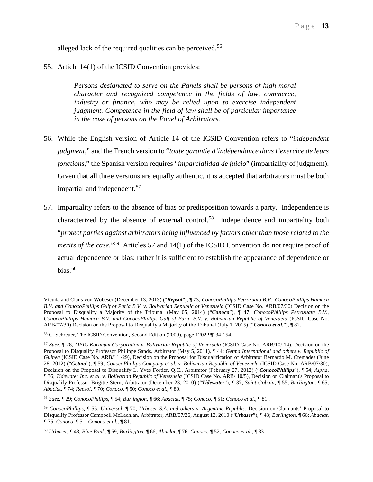alleged lack of the required qualities can be perceived.<sup>[56](#page-15-0)</sup>

55. Article 14(1) of the ICSID Convention provides:

*Persons designated to serve on the Panels shall be persons of high moral character and recognized competence in the fields of law, commerce, industry or finance, who may be relied upon to exercise independent judgment. Competence in the field of law shall be of particular importance in the case of persons on the Panel of Arbitrators.*

- 56. While the English version of Article 14 of the ICSID Convention refers to "*independent judgment*," and the French version to "*toute garantie d'indépendance dans l'exercice de leurs fonctions,*" the Spanish version requires "*imparcialidad de juicio*" (impartiality of judgment). Given that all three versions are equally authentic, it is accepted that arbitrators must be both impartial and independent.<sup>[57](#page-15-1)</sup>
- 57. Impartiality refers to the absence of bias or predisposition towards a party. Independence is characterized by the absence of external control.[58](#page-15-2) Independence and impartiality both "*protect parties against arbitrators being influenced by factors other than those related to the merits of the case*."<sup>[59](#page-15-3)</sup> Articles 57 and 14(1) of the ICSID Convention do not require proof of actual dependence or bias; rather it is sufficient to establish the appearance of dependence or bias.<sup>60</sup>

 $\overline{a}$ 

Vicuña and Claus von Wobeser (December 13, 2013) ("*Repsol*"), ¶ 73; *ConocoPhillips Petrozuata B.V., ConocoPhillips Hamaca B.V. and ConocoPhillips Gulf of Paria B.V. v. Bolivarian Republic of Venezuela* (ICSID Case No. ARB/07/30) Decision on the Proposal to Disqualify a Majority of the Tribunal (May 05, 2014) ("*Conoco*"), ¶ 47; *ConocoPhillips Petrozuata B.V., ConocoPhillips Hamaca B.V. and ConocoPhillips Gulf of Paria B.V. v. Bolivarian Republic of Venezuela* (ICSID Case No. ARB/07/30) Decision on the Proposal to Disqualify a Majority of the Tribunal (July 1, 2015) ("*Conoco et al.*"), ¶ 82.

<span id="page-15-0"></span><sup>56</sup> C. Schreuer, The ICSID Convention, Second Edition (2009), page 1202 ¶¶134-154.

<span id="page-15-1"></span><sup>57</sup> *Suez,* ¶ 28*; OPIC Karimum Corporation v. Bolivarian Republic of Venezuela* (ICSID Case No. ARB/10/ 14), Decision on the Proposal to Disqualify Professor Philippe Sands, Arbitrator (May 5, 2011), ¶ 44; *Getma International and others v. Republic of Guinea* (ICSID Case No. ARB/11 /29), Decision on the Proposal for Disqualification of Arbitrator Bernardo M. Cremades (June 28, 2012) ("*Getma*"), ¶ 59; *ConocoPhillips Company et al. v. Bolivarian Republic of Venezuela* (ICSID Case No. ARB/07/30), Decision on the Proposal to Disqualify L. Yves Fortier, Q.C., Arbitrator (February 27, 2012) ("*ConocoPhillips*"), ¶ 54; *Alpha*, ¶ 36; *Tidewater Inc. et al. v. Bolivarian Republic of Venezuela* (ICSID Case No. ARB/ 10/5), Decision on Claimant's Proposal to Disqualify Professor Brigitte Stern, Arbitrator (December 23, 2010) ("*Tidewater*"), ¶ 37; *Saint-Gobain*, ¶ 55; *Burlington*, ¶ 65; *Abaclat,* ¶ 74; *Repsol,* ¶ 70; *Conoco,* ¶ 50; *Conoco et al.*, ¶ 80.

<span id="page-15-2"></span><sup>58</sup> *Suez*, ¶ 29; *ConocoPhillips*, ¶ 54; *Burlington,* ¶ 66; *Abaclat,* ¶ 75; *Conoco,* ¶ 51; *Conoco et al.*, ¶ 81 .

<span id="page-15-3"></span><sup>59</sup> *ConocoPhillips*, ¶ 55; *Universal*, ¶ 70; *Urbaser S.A. and others v. Argentine Republic,* Decision on Claimants' Proposal to Disqualify Professor Campbell McLachlan*,* Arbitrator, ARB/07/26, August 12, 2010 ("*Urbaser*"), ¶ 43; *Burlington,* ¶ 66; *Abaclat,*  ¶ 75; *Conoco,* ¶ 51; *Conoco et al.*, ¶ 81.

<span id="page-15-4"></span><sup>60</sup> *Urbaser*, ¶ 43, *Blue Bank*, ¶ 59; *Burlington,* ¶ 66; *Abaclat,* ¶ 76; *Conoco*, ¶ 52; *Conoco et al.*, ¶ 83.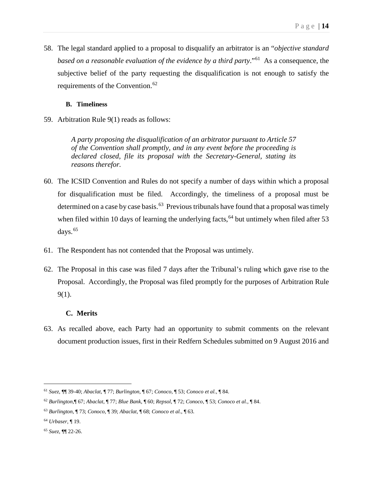58. The legal standard applied to a proposal to disqualify an arbitrator is an "*objective standard based on a reasonable evaluation of the evidence by a third party*."[61](#page-16-2) As a consequence, the subjective belief of the party requesting the disqualification is not enough to satisfy the requirements of the Convention.<sup>[62](#page-16-3)</sup>

## **B. Timeliness**

<span id="page-16-0"></span>59. Arbitration Rule 9(1) reads as follows:

*A party proposing the disqualification of an arbitrator pursuant to Article 57 of the Convention shall promptly, and in any event before the proceeding is declared closed, file its proposal with the Secretary-General, stating its reasons therefor.*

- 60. The ICSID Convention and Rules do not specify a number of days within which a proposal for disqualification must be filed. Accordingly, the timeliness of a proposal must be determined on a case by case basis.<sup>[63](#page-16-4)</sup> Previous tribunals have found that a proposal was timely when filed within 10 days of learning the underlying facts, <sup>[64](#page-16-5)</sup> but untimely when filed after 53 days.<sup>[65](#page-16-6)</sup>
- 61. The Respondent has not contended that the Proposal was untimely.
- 62. The Proposal in this case was filed 7 days after the Tribunal's ruling which gave rise to the Proposal. Accordingly, the Proposal was filed promptly for the purposes of Arbitration Rule 9(1).

#### **C. Merits**

<span id="page-16-1"></span>63. As recalled above, each Party had an opportunity to submit comments on the relevant document production issues, first in their Redfern Schedules submitted on 9 August 2016 and

<span id="page-16-2"></span> <sup>61</sup> *Suez,* ¶¶ 39-40; *Abaclat,* ¶ 77; *Burlington,* ¶ 67; *Conoco*, ¶ 53; *Conoco et al.*, ¶ 84.

<span id="page-16-3"></span><sup>62</sup> *Burlington*,¶ 67; *Abaclat*, ¶ 77; *Blue Bank*, ¶ 60; *Repsol*, ¶ 72; *Conoco*, ¶ 53; *Conoco et al.*, ¶ 84.

<span id="page-16-4"></span><sup>63</sup> *Burlington*, ¶ 73; *Conoco*, ¶ 39; *Abaclat*, ¶ 68; *Conoco et al.*, ¶ 63.

<span id="page-16-5"></span><sup>64</sup> *Urbaser,* ¶ 19.

<span id="page-16-6"></span><sup>65</sup> *Suez*, ¶¶ 22-26.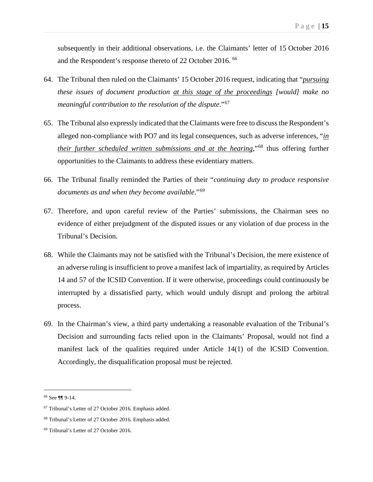subsequently in their additional observations, i.e. the Claimants' letter of 15 October 2016 and the Respondent's response thereto of 22 October 2016. [66](#page-17-0) 

- 64. The Tribunal then ruled on the Claimants' 15 October 2016 request, indicating that "*pursuing these issues of document production at this stage of the proceedings [would] make no meaningful contribution to the resolution of the dispute*."[67](#page-17-1)
- 65. The Tribunal also expressly indicated that the Claimants were free to discuss the Respondent's alleged non-compliance with PO7 and its legal consequences, such as adverse inferences, "*in their further scheduled written submissions and at the hearing*,"[68](#page-17-2) thus offering further opportunities to the Claimants to address these evidentiary matters.
- 66. The Tribunal finally reminded the Parties of their "*continuing duty to produce responsive documents as and when they become available*."[69](#page-17-3)
- 67. Therefore, and upon careful review of the Parties' submissions, the Chairman sees no evidence of either prejudgment of the disputed issues or any violation of due process in the Tribunal's Decision.
- 68. While the Claimants may not be satisfied with the Tribunal's Decision, the mere existence of an adverse ruling is insufficient to prove a manifest lack of impartiality, as required by Articles 14 and 57 of the ICSID Convention. If it were otherwise, proceedings could continuously be interrupted by a dissatisfied party, which would unduly disrupt and prolong the arbitral process.
- 69. In the Chairman's view, a third party undertaking a reasonable evaluation of the Tribunal's Decision and surrounding facts relied upon in the Claimants' Proposal, would not find a manifest lack of the qualities required under Article 14(1) of the ICSID Convention. Accordingly, the disqualification proposal must be rejected.

<span id="page-17-0"></span> <sup>66</sup> See ¶¶ 9-14.

<span id="page-17-1"></span><sup>67</sup> Tribunal's Letter of 27 October 2016. Emphasis added.

<span id="page-17-2"></span><sup>68</sup> Tribunal's Letter of 27 October 2016. Emphasis added.

<span id="page-17-3"></span><sup>69</sup> Tribunal's Letter of 27 October 2016.